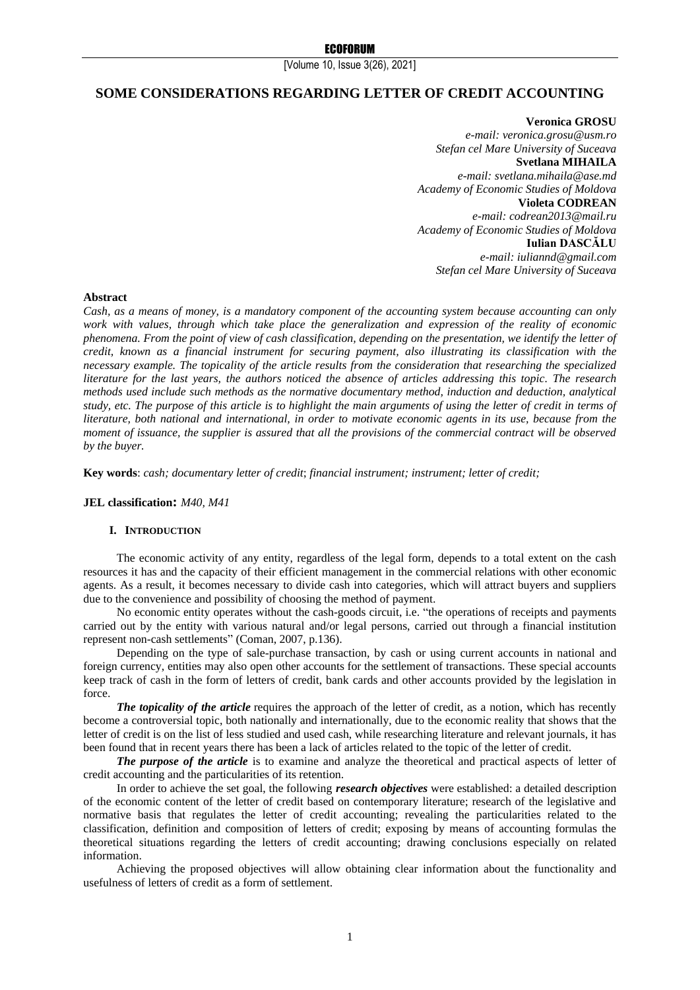# **SOME CONSIDERATIONS REGARDING LETTER OF CREDIT ACCOUNTING**

**Veronica GROSU** *e-mail[: veronica.grosu@usm.ro](mailto:veronica.grosu@usm.ro) Stefan cel Mare University of Suceava* **Svetlana MIHAILA** *e-mail: [svetlana.mihaila@ase.md](mailto:svetlana.mihaila@ase.md) Academy of Economic Studies of Moldova* **Violeta CODREAN** *e-mail: [codrean2013@mail.ru](mailto:codrean2013@mail.ru) Academy of Economic Studies of Moldova* **Iulian DASCĂLU** *e-mail: iuliannd@gmail.com Stefan cel Mare University of Suceava*

### **Abstract**

*Cash, as a means of money, is a mandatory component of the accounting system because accounting can only work with values, through which take place the generalization and expression of the reality of economic phenomena. From the point of view of cash classification, depending on the presentation, we identify the letter of credit, known as a financial instrument for securing payment, also illustrating its classification with the necessary example. The topicality of the article results from the consideration that researching the specialized literature for the last years, the authors noticed the absence of articles addressing this topic. The research methods used include such methods as the normative documentary method, induction and deduction, analytical study, etc. The purpose of this article is to highlight the main arguments of using the letter of credit in terms of literature, both national and international, in order to motivate economic agents in its use, because from the moment of issuance, the supplier is assured that all the provisions of the commercial contract will be observed by the buyer.*

**Key words**: *cash; documentary letter of credit*; *financial instrument; instrument; letter of credit;*

# **JEL classification:** *M40, M41*

#### **I. INTRODUCTION**

The economic activity of any entity, regardless of the legal form, depends to a total extent on the cash resources it has and the capacity of their efficient management in the commercial relations with other economic agents. As a result, it becomes necessary to divide cash into categories, which will attract buyers and suppliers due to the convenience and possibility of choosing the method of payment.

No economic entity operates without the cash-goods circuit, i.e. "the operations of receipts and payments carried out by the entity with various natural and/or legal persons, carried out through a financial institution represent non-cash settlements" (Coman, 2007, p.136).

Depending on the type of sale-purchase transaction, by cash or using current accounts in national and foreign currency, entities may also open other accounts for the settlement of transactions. These special accounts keep track of cash in the form of letters of credit, bank cards and other accounts provided by the legislation in force.

*The topicality of the article* requires the approach of the letter of credit, as a notion, which has recently become a controversial topic, both nationally and internationally, due to the economic reality that shows that the letter of credit is on the list of less studied and used cash, while researching literature and relevant journals, it has been found that in recent years there has been a lack of articles related to the topic of the letter of credit.

*The purpose of the article* is to examine and analyze the theoretical and practical aspects of letter of credit accounting and the particularities of its retention.

In order to achieve the set goal, the following *research objectives* were established: a detailed description of the economic content of the letter of credit based on contemporary literature; research of the legislative and normative basis that regulates the letter of credit accounting; revealing the particularities related to the classification, definition and composition of letters of credit; exposing by means of accounting formulas the theoretical situations regarding the letters of credit accounting; drawing conclusions especially on related information.

Achieving the proposed objectives will allow obtaining clear information about the functionality and usefulness of letters of credit as a form of settlement.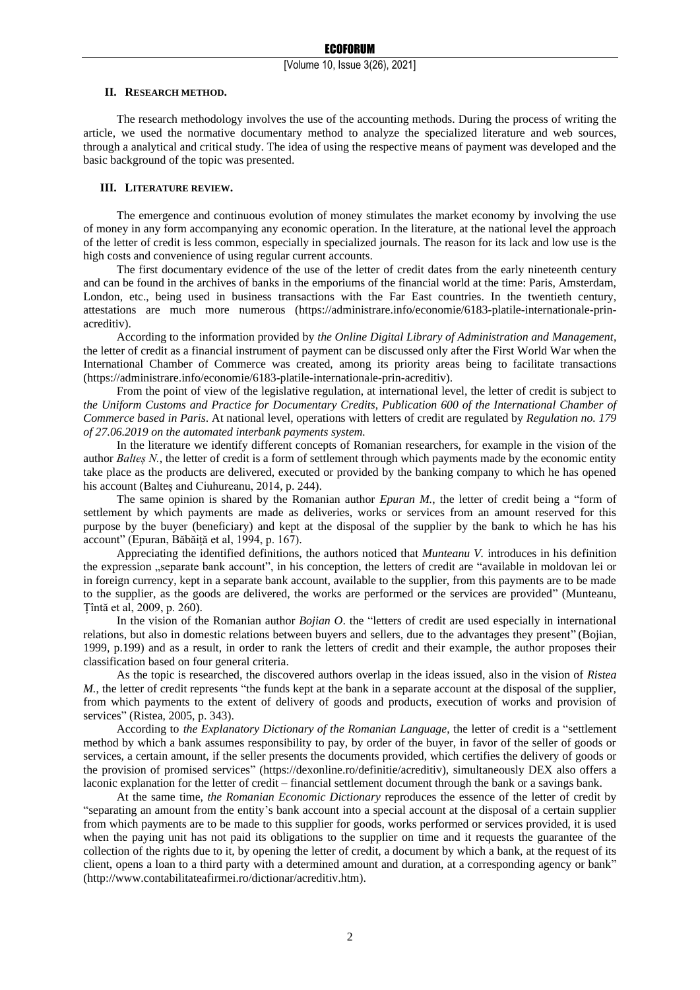### **II. RESEARCH METHOD.**

The research methodology involves the use of the accounting methods. During the process of writing the article, we used the normative documentary method to analyze the specialized literature and web sources, through a analytical and critical study. The idea of using the respective means of payment was developed and the basic background of the topic was presented.

# **III. LITERATURE REVIEW.**

The emergence and continuous evolution of money stimulates the market economy by involving the use of money in any form accompanying any economic operation. In the literature, at the national level the approach of the letter of credit is less common, especially in specialized journals. The reason for its lack and low use is the high costs and convenience of using regular current accounts.

The first documentary evidence of the use of the letter of credit dates from the early nineteenth century and can be found in the archives of banks in the emporiums of the financial world at the time: Paris, Amsterdam, London, etc., being used in business transactions with the Far East countries. In the twentieth century, attestations are much more numerous (https://administrare.info/economie/6183-platile-internationale-prinacreditiv).

According to the information provided by *the Online Digital Library of Administration and Management*, the letter of credit as a financial instrument of payment can be discussed only after the First World War when the International Chamber of Commerce was created, among its priority areas being to facilitate transactions (https://administrare.info/economie/6183-platile-internationale-prin-acreditiv).

From the point of view of the legislative regulation, at international level, the letter of credit is subject to *the Uniform Customs and Practice for Documentary Credits*, *Publication 600 of the International Chamber of Commerce based in Paris*. At national level, operations with letters of credit are regulated by *Regulation no. 179 of 27.06.2019 on the automated interbank payments system.*

In the literature we identify different concepts of Romanian researchers, for example in the vision of the author *Baltes N.*, the letter of credit is a form of settlement through which payments made by the economic entity take place as the products are delivered, executed or provided by the banking company to which he has opened his account (Balteș and Ciuhureanu, 2014, p. 244).

The same opinion is shared by the Romanian author *Epuran M.*, the letter of credit being a "form of settlement by which payments are made as deliveries, works or services from an amount reserved for this purpose by the buyer (beneficiary) and kept at the disposal of the supplier by the bank to which he has his account" (Epuran, Băbăiță et al, 1994, p. 167).

Appreciating the identified definitions, the authors noticed that *Munteanu V.* introduces in his definition the expression "separate bank account", in his conception, the letters of credit are "available in moldovan lei or in foreign currency, kept in a separate bank account, available to the supplier, from this payments are to be made to the supplier, as the goods are delivered, the works are performed or the services are provided" (Munteanu, Țîntă et al, 2009, p. 260).

In the vision of the Romanian author *Bojian O*. the "letters of credit are used especially in international relations, but also in domestic relations between buyers and sellers, due to the advantages they present" (Bojian, 1999, p.199) and as a result, in order to rank the letters of credit and their example, the author proposes their classification based on four general criteria.

As the topic is researched, the discovered authors overlap in the ideas issued, also in the vision of *Ristea M*., the letter of credit represents "the funds kept at the bank in a separate account at the disposal of the supplier, from which payments to the extent of delivery of goods and products, execution of works and provision of services" (Ristea, 2005, p. 343).

According to *the Explanatory Dictionary of the Romanian Language*, the letter of credit is a "settlement method by which a bank assumes responsibility to pay, by order of the buyer, in favor of the seller of goods or services, a certain amount, if the seller presents the documents provided, which certifies the delivery of goods or the provision of promised services" (https://dexonline.ro/definitie/acreditiv), simultaneously DEX also offers a laconic explanation for the letter of credit – financial settlement document through the bank or a savings bank.

At the same time, *the Romanian Economic Dictionary* reproduces the essence of the letter of credit by "separating an amount from the entity's bank account into a special account at the disposal of a certain supplier from which payments are to be made to this supplier for goods, works performed or services provided, it is used when the paying unit has not paid its obligations to the supplier on time and it requests the guarantee of the collection of the rights due to it, by opening the letter of credit, a document by which a bank, at the request of its client, opens a loan to a third party with a determined amount and duration, at a corresponding agency or bank" (http://www.contabilitateafirmei.ro/dictionar/acreditiv.htm).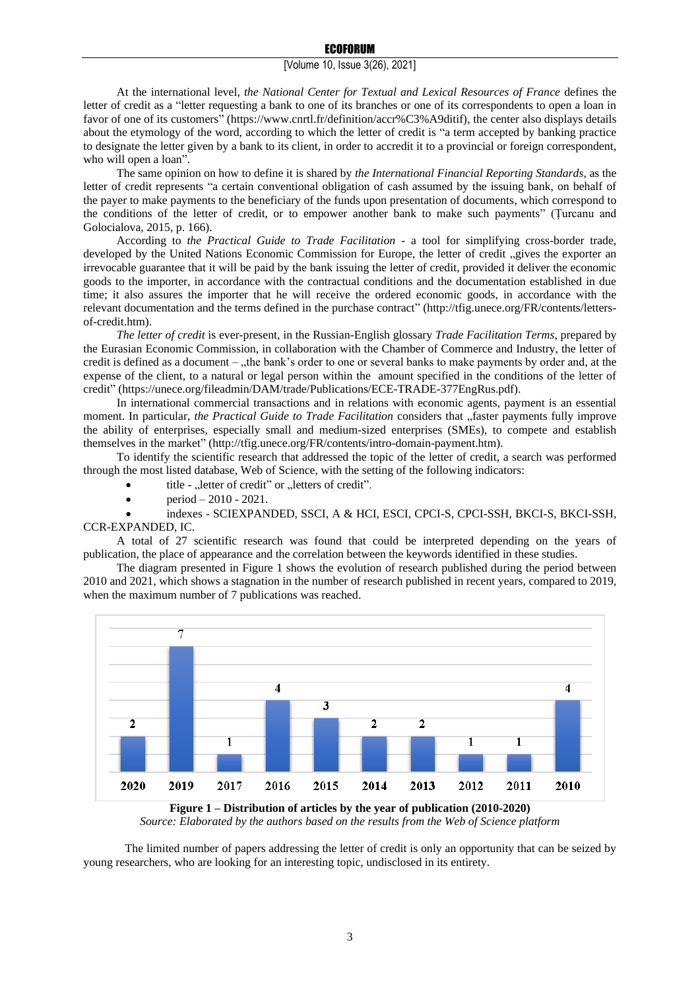At the international level, *the National Center for Textual and Lexical Resources of France* defines the letter of credit as a "letter requesting a bank to one of its branches or one of its correspondents to open a loan in favor of one of its customers" (https://www.cnrtl.fr/definition/accr%C3%A9ditif), the center also displays details about the etymology of the word, according to which the letter of credit is "a term accepted by banking practice to designate the letter given by a bank to its client, in order to accredit it to a provincial or foreign correspondent, who will open a loan".

The same opinion on how to define it is shared by *the International Financial Reporting Standards*, as the letter of credit represents "a certain conventional obligation of cash assumed by the issuing bank, on behalf of the payer to make payments to the beneficiary of the funds upon presentation of documents, which correspond to the conditions of the letter of credit, or to empower another bank to make such payments" (Țurcanu and Golocialova, 2015, p. 166).

According to *the Practical Guide to Trade Facilitation* - a tool for simplifying cross-border trade, developed by the United Nations Economic Commission for Europe, the letter of credit "gives the exporter an irrevocable guarantee that it will be paid by the bank issuing the letter of credit, provided it deliver the economic goods to the importer, in accordance with the contractual conditions and the documentation established in due time; it also assures the importer that he will receive the ordered economic goods, in accordance with the relevant documentation and the terms defined in the purchase contract" (http://tfig.unece.org/FR/contents/lettersof-credit.htm).

*The letter of credit* is ever-present, in the Russian-English glossary *Trade Facilitation Terms*, prepared by the Eurasian Economic Commission, in collaboration with the Chamber of Commerce and Industry, the letter of credit is defined as a document – "the bank's order to one or several banks to make payments by order and, at the expense of the client, to a natural or legal person within the amount specified in the conditions of the letter of credit" (https://unece.org/fileadmin/DAM/trade/Publications/ECE-TRADE-377EngRus.pdf).

In international commercial transactions and in relations with economic agents, payment is an essential moment. In particular, *the Practical Guide to Trade Facilitation* considers that "faster payments fully improve the ability of enterprises, especially small and medium-sized enterprises (SMEs), to compete and establish themselves in the market" (http://tfig.unece.org/FR/contents/intro-domain-payment.htm).

To identify the scientific research that addressed the topic of the letter of credit, a search was performed through the most listed database, Web of Science, with the setting of the following indicators:

- title "letter of credit" or "letters of credit".
- period 2010 2021.

• indexes - SCIEXPANDED, SSCI, A & HCI, ESCI, CPCI-S, CPCI-SSH, BKCI-S, BKCI-SSH, CCR-EXPANDED, IC.

A total of 27 scientific research was found that could be interpreted depending on the years of publication, the place of appearance and the correlation between the keywords identified in these studies.

The diagram presented in Figure 1 shows the evolution of research published during the period between 2010 and 2021, which shows a stagnation in the number of research published in recent years, compared to 2019, when the maximum number of 7 publications was reached.



**Figure 1 – Distribution of articles by the year of publication (2010-2020)** *Source: Elaborated by the authors based on the results from the Web of Science platform*

The limited number of papers addressing the letter of credit is only an opportunity that can be seized by young researchers, who are looking for an interesting topic, undisclosed in its entirety.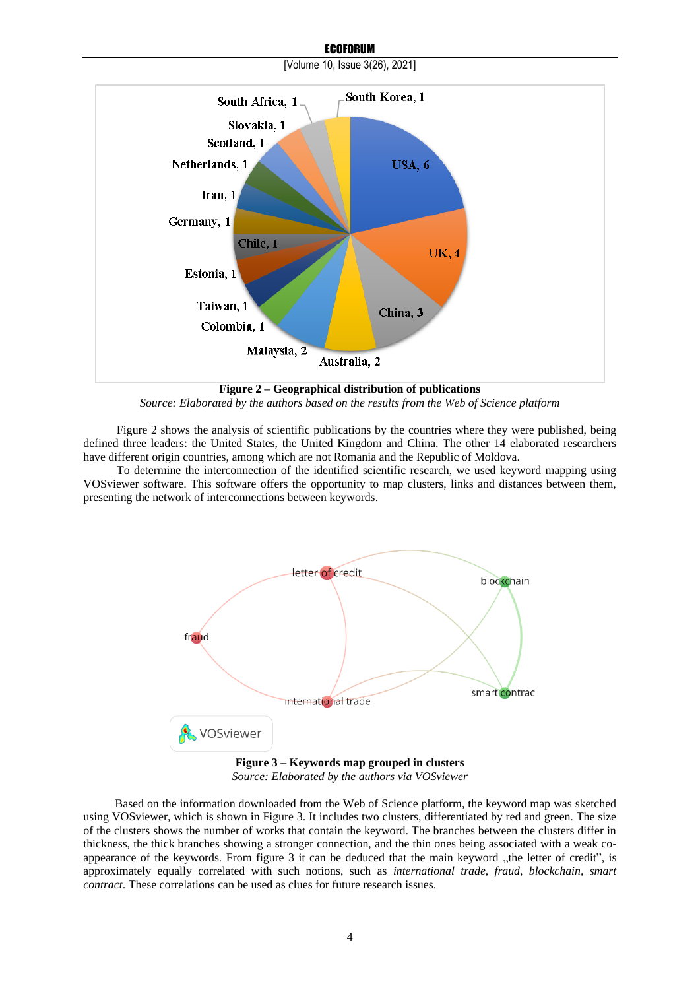

**ECOFORUM** [Volume 10, Issue 3(26), 2021]

**Figure 2 – Geographical distribution of publications** *Source: Elaborated by the authors based on the results from the Web of Science platform*

Figure 2 shows the analysis of scientific publications by the countries where they were published, being defined three leaders: the United States, the United Kingdom and China. The other 14 elaborated researchers have different origin countries, among which are not Romania and the Republic of Moldova.

To determine the interconnection of the identified scientific research, we used keyword mapping using VOSviewer software. This software offers the opportunity to map clusters, links and distances between them, presenting the network of interconnections between keywords.



*Source: Elaborated by the authors via VOSviewer*

Based on the information downloaded from the Web of Science platform, the keyword map was sketched using VOSviewer, which is shown in Figure 3. It includes two clusters, differentiated by red and green. The size of the clusters shows the number of works that contain the keyword. The branches between the clusters differ in thickness, the thick branches showing a stronger connection, and the thin ones being associated with a weak coappearance of the keywords. From figure  $3$  it can be deduced that the main keyword  $\mu$ , the letter of credit", is approximately equally correlated with such notions, such as *international trade, fraud, blockchain, smart contract*. These correlations can be used as clues for future research issues.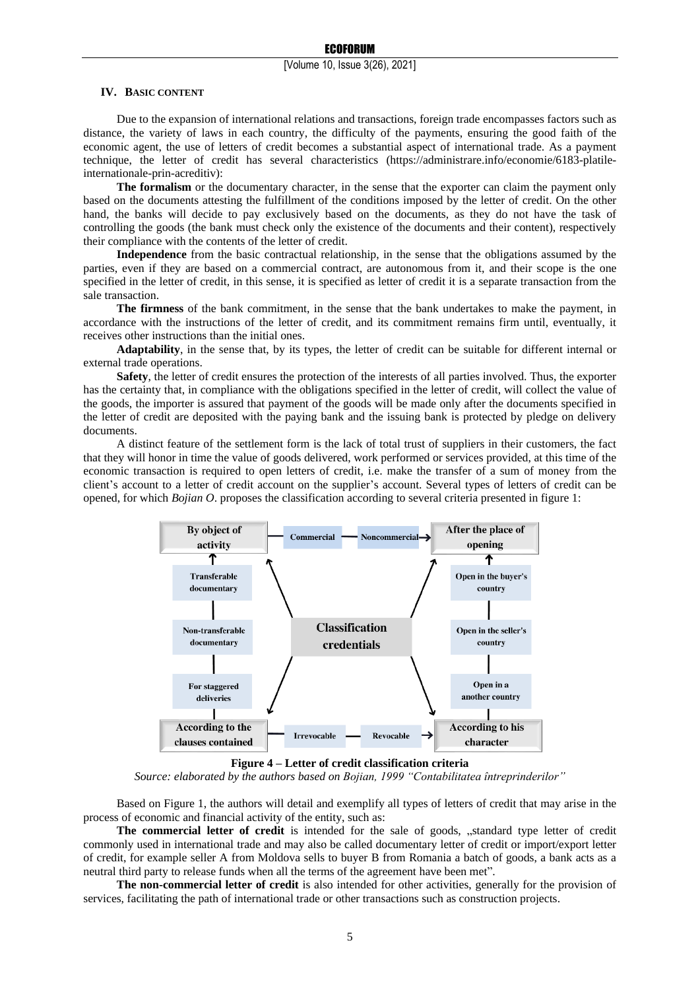#### **IV. BASIC CONTENT**

Due to the expansion of international relations and transactions, foreign trade encompasses factors such as distance, the variety of laws in each country, the difficulty of the payments, ensuring the good faith of the economic agent, the use of letters of credit becomes a substantial aspect of international trade. As a payment technique, the letter of credit has several characteristics (https://administrare.info/economie/6183-platileinternationale-prin-acreditiv):

**The formalism** or the documentary character, in the sense that the exporter can claim the payment only based on the documents attesting the fulfillment of the conditions imposed by the letter of credit. On the other hand, the banks will decide to pay exclusively based on the documents, as they do not have the task of controlling the goods (the bank must check only the existence of the documents and their content), respectively their compliance with the contents of the letter of credit.

**Independence** from the basic contractual relationship, in the sense that the obligations assumed by the parties, even if they are based on a commercial contract, are autonomous from it, and their scope is the one specified in the letter of credit, in this sense, it is specified as letter of credit it is a separate transaction from the sale transaction.

**The firmness** of the bank commitment, in the sense that the bank undertakes to make the payment, in accordance with the instructions of the letter of credit, and its commitment remains firm until, eventually, it receives other instructions than the initial ones.

**Adaptability**, in the sense that, by its types, the letter of credit can be suitable for different internal or external trade operations.

**Safety**, the letter of credit ensures the protection of the interests of all parties involved. Thus, the exporter has the certainty that, in compliance with the obligations specified in the letter of credit, will collect the value of the goods, the importer is assured that payment of the goods will be made only after the documents specified in the letter of credit are deposited with the paying bank and the issuing bank is protected by pledge on delivery documents.

A distinct feature of the settlement form is the lack of total trust of suppliers in their customers, the fact that they will honor in time the value of goods delivered, work performed or services provided, at this time of the economic transaction is required to open letters of credit, i.e. make the transfer of a sum of money from the client's account to a letter of credit account on the supplier's account. Several types of letters of credit can be opened, for which *Bojian O*. proposes the classification according to several criteria presented in figure 1:



**Figure 4 – Letter of credit classification criteria**

*Source: elaborated by the authors based on Bojian, 1999 "Contabilitatea întreprinderilor"*

Based on Figure 1, the authors will detail and exemplify all types of letters of credit that may arise in the process of economic and financial activity of the entity, such as:

**The commercial letter of credit** is intended for the sale of goods, "standard type letter of credit commonly used in international trade and may also be called documentary letter of credit or import/export letter of credit, for example seller A from Moldova sells to buyer B from Romania a batch of goods, a bank acts as a neutral third party to release funds when all the terms of the agreement have been met".

**The non-commercial letter of credit** is also intended for other activities, generally for the provision of services, facilitating the path of international trade or other transactions such as construction projects.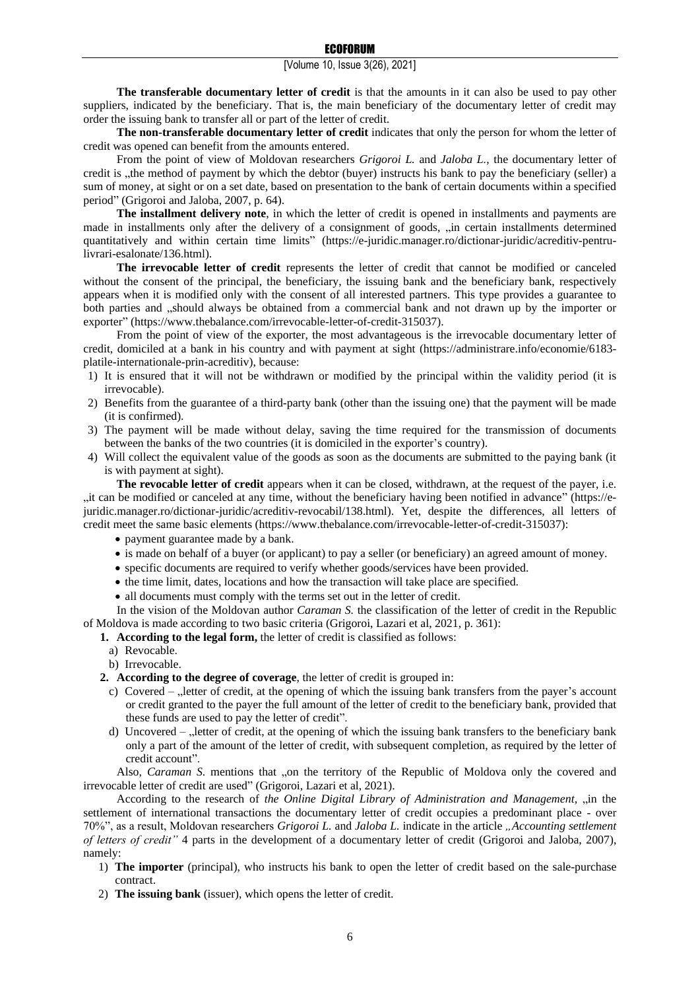**The transferable documentary letter of credit** is that the amounts in it can also be used to pay other suppliers, indicated by the beneficiary. That is, the main beneficiary of the documentary letter of credit may order the issuing bank to transfer all or part of the letter of credit.

**The non-transferable documentary letter of credit** indicates that only the person for whom the letter of credit was opened can benefit from the amounts entered.

From the point of view of Moldovan researchers *Grigoroi L.* and *Jaloba L.*, the documentary letter of credit is , the method of payment by which the debtor (buyer) instructs his bank to pay the beneficiary (seller) a sum of money, at sight or on a set date, based on presentation to the bank of certain documents within a specified period" (Grigoroi and Jaloba, 2007, p. 64).

**The installment delivery note**, in which the letter of credit is opened in installments and payments are made in installments only after the delivery of a consignment of goods, "in certain installments determined quantitatively and within certain time limits" (https://e-juridic.manager.ro/dictionar-juridic/acreditiv-pentrulivrari-esalonate/136.html).

**The irrevocable letter of credit** represents the letter of credit that cannot be modified or canceled without the consent of the principal, the beneficiary, the issuing bank and the beneficiary bank, respectively appears when it is modified only with the consent of all interested partners. This type provides a guarantee to both parties and "should always be obtained from a commercial bank and not drawn up by the importer or exporter" (https://www.thebalance.com/irrevocable-letter-of-credit-315037).

From the point of view of the exporter, the most advantageous is the irrevocable documentary letter of credit, domiciled at a bank in his country and with payment at sight (https://administrare.info/economie/6183 platile-internationale-prin-acreditiv), because:

- 1) It is ensured that it will not be withdrawn or modified by the principal within the validity period (it is irrevocable).
- 2) Benefits from the guarantee of a third-party bank (other than the issuing one) that the payment will be made (it is confirmed).
- 3) The payment will be made without delay, saving the time required for the transmission of documents between the banks of the two countries (it is domiciled in the exporter's country).
- 4) Will collect the equivalent value of the goods as soon as the documents are submitted to the paying bank (it is with payment at sight).

**The revocable letter of credit** appears when it can be closed, withdrawn, at the request of the payer, i.e. "it can be modified or canceled at any time, without the beneficiary having been notified in advance" (https://ejuridic.manager.ro/dictionar-juridic/acreditiv-revocabil/138.html). Yet, despite the differences, all letters of credit meet the same basic elements (https://www.thebalance.com/irrevocable-letter-of-credit-315037):

- payment guarantee made by a bank.
- is made on behalf of a buyer (or applicant) to pay a seller (or beneficiary) an agreed amount of money.
- specific documents are required to verify whether goods/services have been provided.
- the time limit, dates, locations and how the transaction will take place are specified.
- all documents must comply with the terms set out in the letter of credit.

In the vision of the Moldovan author *Caraman S.* the classification of the letter of credit in the Republic of Moldova is made according to two basic criteria (Grigoroi, Lazari et al, 2021, p. 361):

**1. According to the legal form,** the letter of credit is classified as follows:

- a) Revocable.
- b) Irrevocable.

**2. According to the degree of coverage**, the letter of credit is grouped in:

- c) Covered  $\alpha$ , letter of credit, at the opening of which the issuing bank transfers from the payer's account or credit granted to the payer the full amount of the letter of credit to the beneficiary bank, provided that these funds are used to pay the letter of credit".
- d) Uncovered  $\theta$ , letter of credit, at the opening of which the issuing bank transfers to the beneficiary bank only a part of the amount of the letter of credit, with subsequent completion, as required by the letter of credit account".

Also, *Caraman S*. mentions that "on the territory of the Republic of Moldova only the covered and irrevocable letter of credit are used" (Grigoroi, Lazari et al, 2021).

According to the research of *the Online Digital Library of Administration and Management*, "in the settlement of international transactions the documentary letter of credit occupies a predominant place - over 70%", as a result, Moldovan researchers *Grigoroi L.* and *Jaloba L.* indicate in the article *"Accounting settlement of letters of credit"* 4 parts in the development of a documentary letter of credit (Grigoroi and Jaloba, 2007), namely:

- 1) **The importer** (principal), who instructs his bank to open the letter of credit based on the sale-purchase contract.
- 2) **The issuing bank** (issuer), which opens the letter of credit.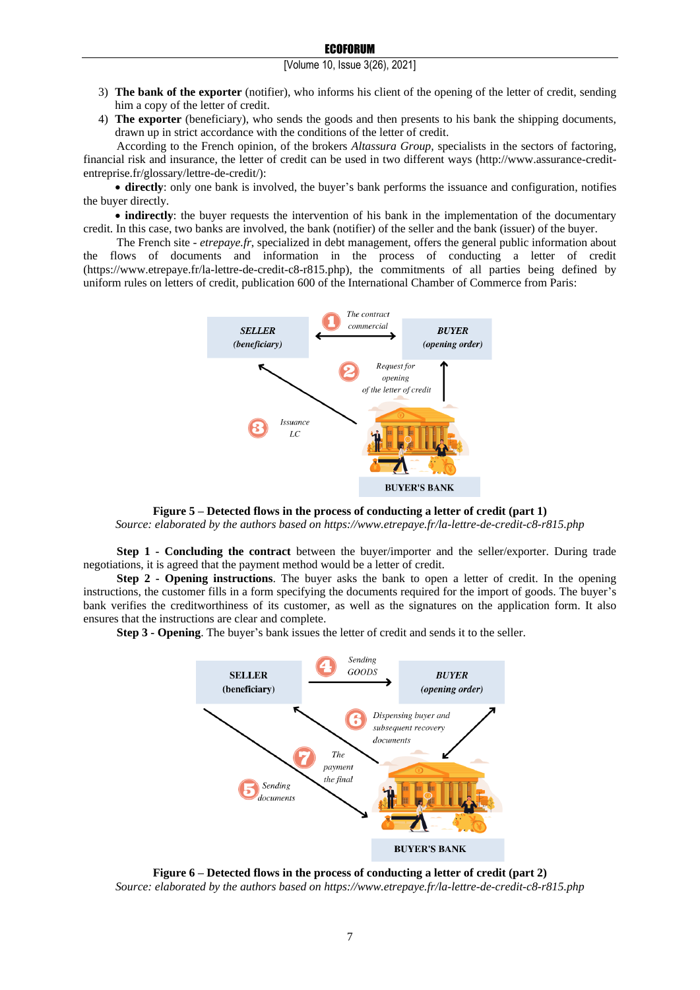- 3) **The bank of the exporter** (notifier), who informs his client of the opening of the letter of credit, sending him a copy of the letter of credit.
- 4) **The exporter** (beneficiary), who sends the goods and then presents to his bank the shipping documents, drawn up in strict accordance with the conditions of the letter of credit.

According to the French opinion, of the brokers *Altassura Group,* specialists in the sectors of factoring, financial risk and insurance, the letter of credit can be used in two different ways (http://www.assurance-creditentreprise.fr/glossary/lettre-de-credit/):

• **directly**: only one bank is involved, the buyer's bank performs the issuance and configuration, notifies the buyer directly.

• **indirectly**: the buyer requests the intervention of his bank in the implementation of the documentary credit. In this case, two banks are involved, the bank (notifier) of the seller and the bank (issuer) of the buyer.

The French site - *etrepaye.fr*, specialized in debt management, offers the general public information about the flows of documents and information in the process of conducting a letter of credit (https://www.etrepaye.fr/la-lettre-de-credit-c8-r815.php), the commitments of all parties being defined by uniform rules on letters of credit, publication 600 of the International Chamber of Commerce from Paris:



**Figure 5 – Detected flows in the process of conducting a letter of credit (part 1)** *Source: elaborated by the authors based on https://www.etrepaye.fr/la-lettre-de-credit-c8-r815.php*

**Step 1 - Concluding the contract** between the buyer/importer and the seller/exporter. During trade negotiations, it is agreed that the payment method would be a letter of credit.

**Step 2 - Opening instructions**. The buyer asks the bank to open a letter of credit. In the opening instructions, the customer fills in a form specifying the documents required for the import of goods. The buyer's bank verifies the creditworthiness of its customer, as well as the signatures on the application form. It also ensures that the instructions are clear and complete.

**Step 3 - Opening**. The buyer's bank issues the letter of credit and sends it to the seller.



**Figure 6 – Detected flows in the process of conducting a letter of credit (part 2)** *Source: elaborated by the authors based on https://www.etrepaye.fr/la-lettre-de-credit-c8-r815.php*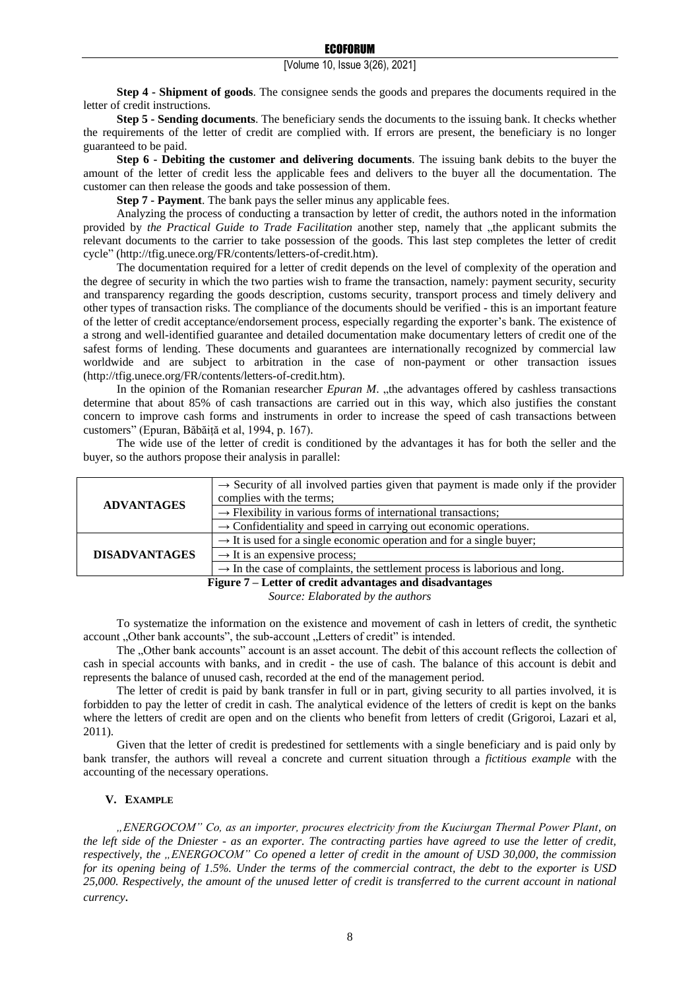**Step 4 - Shipment of goods**. The consignee sends the goods and prepares the documents required in the letter of credit instructions.

**Step 5 - Sending documents**. The beneficiary sends the documents to the issuing bank. It checks whether the requirements of the letter of credit are complied with. If errors are present, the beneficiary is no longer guaranteed to be paid.

**Step 6 - Debiting the customer and delivering documents**. The issuing bank debits to the buyer the amount of the letter of credit less the applicable fees and delivers to the buyer all the documentation. The customer can then release the goods and take possession of them.

**Step 7 - Payment**. The bank pays the seller minus any applicable fees.

Analyzing the process of conducting a transaction by letter of credit, the authors noted in the information provided by *the Practical Guide to Trade Facilitation* another step, namely that "the applicant submits the relevant documents to the carrier to take possession of the goods. This last step completes the letter of credit cycle" (http://tfig.unece.org/FR/contents/letters-of-credit.htm).

The documentation required for a letter of credit depends on the level of complexity of the operation and the degree of security in which the two parties wish to frame the transaction, namely: payment security, security and transparency regarding the goods description, customs security, transport process and timely delivery and other types of transaction risks. The compliance of the documents should be verified - this is an important feature of the letter of credit acceptance/endorsement process, especially regarding the exporter's bank. The existence of a strong and well-identified guarantee and detailed documentation make documentary letters of credit one of the safest forms of lending. These documents and guarantees are internationally recognized by commercial law worldwide and are subject to arbitration in the case of non-payment or other transaction issues (http://tfig.unece.org/FR/contents/letters-of-credit.htm).

In the opinion of the Romanian researcher *Epuran M.* "the advantages offered by cashless transactions determine that about 85% of cash transactions are carried out in this way, which also justifies the constant concern to improve cash forms and instruments in order to increase the speed of cash transactions between customers" (Epuran, Băbăiță et al, 1994, p. 167).

The wide use of the letter of credit is conditioned by the advantages it has for both the seller and the buyer, so the authors propose their analysis in parallel:

|                                                          | $\rightarrow$ Security of all involved parties given that payment is made only if the provider |  |
|----------------------------------------------------------|------------------------------------------------------------------------------------------------|--|
| <b>ADVANTAGES</b>                                        | complies with the terms;                                                                       |  |
|                                                          | $\rightarrow$ Flexibility in various forms of international transactions;                      |  |
|                                                          | $\rightarrow$ Confidentiality and speed in carrying out economic operations.                   |  |
| <b>DISADVANTAGES</b>                                     | $\rightarrow$ It is used for a single economic operation and for a single buyer;               |  |
|                                                          | $\rightarrow$ It is an expensive process;                                                      |  |
|                                                          | $\rightarrow$ In the case of complaints, the settlement process is laborious and long.         |  |
| Figure 7 – Letter of credit advantages and disadvantages |                                                                                                |  |

*Source: Elaborated by the authors*

To systematize the information on the existence and movement of cash in letters of credit, the synthetic account . Other bank accounts", the sub-account . Letters of credit" is intended.

The . Other bank accounts" account is an asset account. The debit of this account reflects the collection of cash in special accounts with banks, and in credit - the use of cash. The balance of this account is debit and represents the balance of unused cash, recorded at the end of the management period.

The letter of credit is paid by bank transfer in full or in part, giving security to all parties involved, it is forbidden to pay the letter of credit in cash. The analytical evidence of the letters of credit is kept on the banks where the letters of credit are open and on the clients who benefit from letters of credit (Grigoroi, Lazari et al, 2011).

Given that the letter of credit is predestined for settlements with a single beneficiary and is paid only by bank transfer, the authors will reveal a concrete and current situation through a *fictitious example* with the accounting of the necessary operations.

#### **V. EXAMPLE**

*"ENERGOCOM" Co, as an importer, procures electricity from the Kuciurgan Thermal Power Plant, on the left side of the Dniester - as an exporter. The contracting parties have agreed to use the letter of credit, respectively, the "ENERGOCOM" Co opened a letter of credit in the amount of USD 30,000, the commission for its opening being of 1.5%. Under the terms of the commercial contract, the debt to the exporter is USD 25,000. Respectively, the amount of the unused letter of credit is transferred to the current account in national currency.*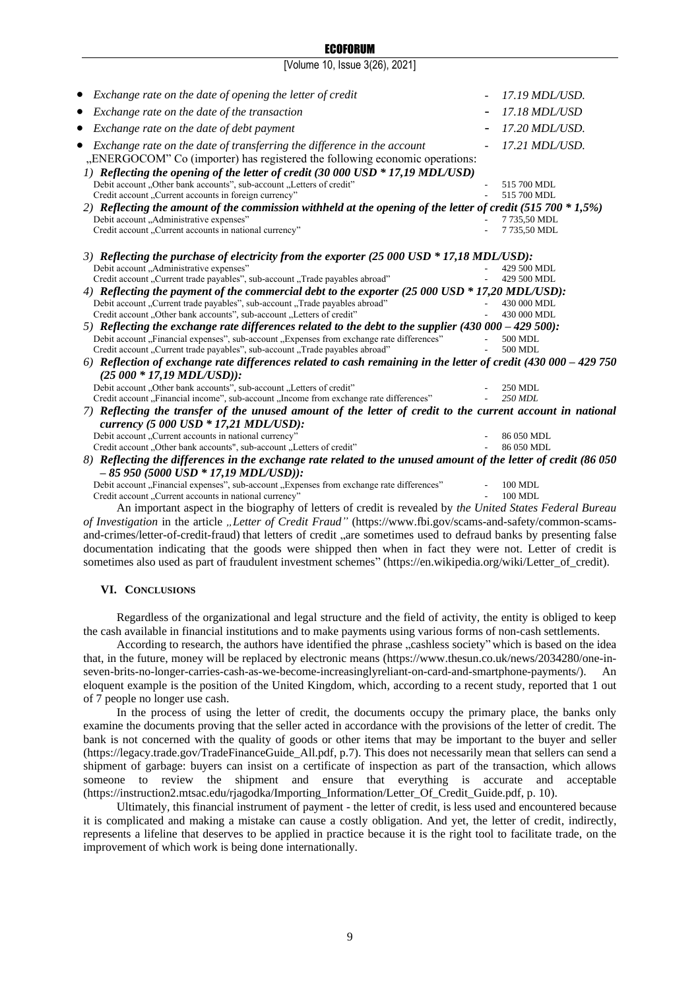# ECOFORUM

[Volume 10, Issue 3(26), 2021]

| Exchange rate on the date of opening the letter of credit<br>$\bullet$                                            | 17.19 MDL/USD. |
|-------------------------------------------------------------------------------------------------------------------|----------------|
| Exchange rate on the date of the transaction                                                                      | 17.18 MDL/USD  |
| Exchange rate on the date of debt payment                                                                         | 17.20 MDL/USD. |
| Exchange rate on the date of transferring the difference in the account                                           | 17.21 MDL/USD. |
| "ENERGOCOM" Co (importer) has registered the following economic operations:                                       |                |
| 1) Reflecting the opening of the letter of credit (30 000 USD * 17,19 MDL/USD)                                    |                |
| Debit account "Other bank accounts", sub-account "Letters of credit"                                              | 515 700 MDL    |
| Credit account "Current accounts in foreign currency"                                                             | 515 700 MDL    |
| 2) Reflecting the amount of the commission withheld at the opening of the letter of credit (515 700 $*$ 1,5%)     |                |
| Debit account "Administrative expenses"                                                                           | 7735,50 MDL    |
| Credit account "Current accounts in national currency"                                                            | 7735,50 MDL    |
| 3) Reflecting the purchase of electricity from the exporter (25 000 USD * 17,18 MDL/USD):                         |                |
| Debit account "Administrative expenses"                                                                           | 429 500 MDL    |
| Credit account "Current trade payables", sub-account "Trade payables abroad"                                      | 429 500 MDL    |
| 4) Reflecting the payment of the commercial debt to the exporter (25 000 USD * 17,20 MDL/USD):                    |                |
| Debit account "Current trade payables", sub-account "Trade payables abroad"                                       | 430 000 MDL    |
| Credit account "Other bank accounts", sub-account "Letters of credit"                                             | 430 000 MDL    |
| 5) Reflecting the exchange rate differences related to the debt to the supplier (430 000 - 429 500):              |                |
| Debit account "Financial expenses", sub-account "Expenses from exchange rate differences"                         | 500 MDL        |
| Credit account "Current trade payables", sub-account "Trade payables abroad"                                      | 500 MDL        |
| $6)$ Reflection of exchange rate differences related to cash remaining in the letter of credit (430 000 - 429 750 |                |
| $(25000 * 17,19 MDL/USD))$ :                                                                                      |                |
| Debit account "Other bank accounts", sub-account "Letters of credit"                                              | 250 MDL        |
| Credit account "Financial income", sub-account "Income from exchange rate differences"                            | 250 MDL        |
| 7) Reflecting the transfer of the unused amount of the letter of credit to the current account in national        |                |
| currency (5 000 USD * 17,21 MDL/USD):                                                                             |                |
| Debit account "Current accounts in national currency"                                                             | 86 050 MDL     |
| Credit account "Other bank accounts", sub-account "Letters of credit"                                             | 86 050 MDL     |
| 8) Reflecting the differences in the exchange rate related to the unused amount of the letter of credit (86 050   |                |
| $-85950(5000 \text{ USD} * 17,19 \text{ MDL/USD}$ ):                                                              |                |
| Debit account "Financial expenses", sub-account "Expenses from exchange rate differences"                         | 100 MDL        |
| Credit account "Current accounts in national currency"                                                            | 100 MDL        |

An important aspect in the biography of letters of credit is revealed by *the United States Federal Bureau of Investigation* in the article *"Letter of Credit Fraud"* (https://www.fbi.gov/scams-and-safety/common-scamsand-crimes/letter-of-credit-fraud) that letters of credit, are sometimes used to defraud banks by presenting false documentation indicating that the goods were shipped then when in fact they were not. Letter of credit is sometimes also used as part of fraudulent investment schemes" (https://en.wikipedia.org/wiki/Letter\_of\_credit).

#### **VI. CONCLUSIONS**

Regardless of the organizational and legal structure and the field of activity, the entity is obliged to keep the cash available in financial institutions and to make payments using various forms of non-cash settlements.

According to research, the authors have identified the phrase "cashless society" which is based on the idea that, in the future, money will be replaced by electronic means (https://www.thesun.co.uk/news/2034280/one-inseven-brits-no-longer-carries-cash-as-we-become-increasinglyreliant-on-card-and-smartphone-payments/). An eloquent example is the position of the United Kingdom, which, according to a recent study, reported that 1 out of 7 people no longer use cash.

In the process of using the letter of credit, the documents occupy the primary place, the banks only examine the documents proving that the seller acted in accordance with the provisions of the letter of credit. The bank is not concerned with the quality of goods or other items that may be important to the buyer and seller (https://legacy.trade.gov/TradeFinanceGuide\_All.pdf, p.7). This does not necessarily mean that sellers can send a shipment of garbage: buyers can insist on a certificate of inspection as part of the transaction, which allows someone to review the shipment and ensure that everything is accurate and acceptable (https://instruction2.mtsac.edu/rjagodka/Importing\_Information/Letter\_Of\_Credit\_Guide.pdf, p. 10).

Ultimately, this financial instrument of payment - the letter of credit, is less used and encountered because it is complicated and making a mistake can cause a costly obligation. And yet, the letter of credit, indirectly, represents a lifeline that deserves to be applied in practice because it is the right tool to facilitate trade, on the improvement of which work is being done internationally.